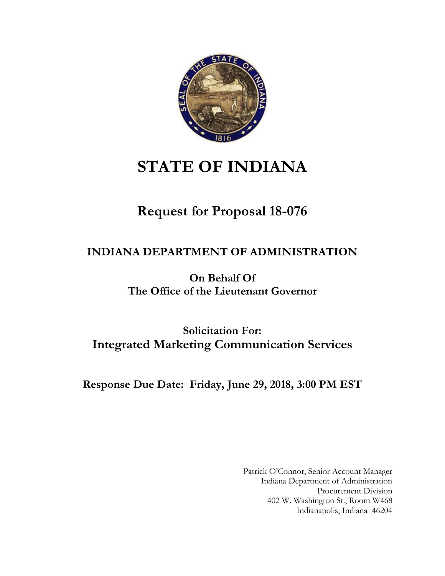

# **STATE OF INDIANA**

# **Request for Proposal 18-076**

# **INDIANA DEPARTMENT OF ADMINISTRATION**

**On Behalf Of The Office of the Lieutenant Governor**

**Solicitation For: Integrated Marketing Communication Services**

**Response Due Date: Friday, June 29, 2018, 3:00 PM EST**

Patrick O'Connor, Senior Account Manager Indiana Department of Administration Procurement Division 402 W. Washington St., Room W468 Indianapolis, Indiana 46204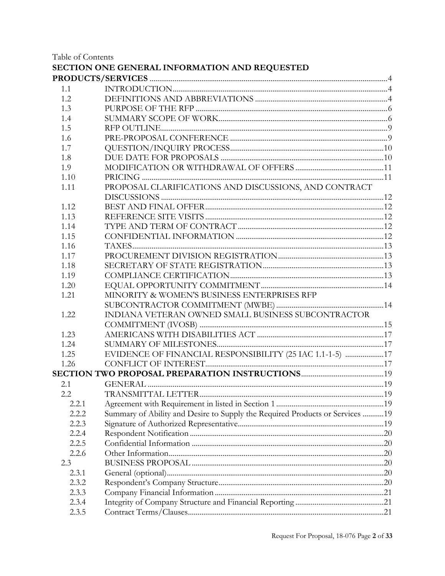Table of Contents

|       | SECTION ONE GENERAL INFORMATION AND REQUESTED                                 |  |
|-------|-------------------------------------------------------------------------------|--|
|       |                                                                               |  |
| 1.1   |                                                                               |  |
| 1.2   |                                                                               |  |
| 1.3   |                                                                               |  |
| 1.4   |                                                                               |  |
| 1.5   |                                                                               |  |
| 1.6   |                                                                               |  |
| 1.7   |                                                                               |  |
| 1.8   |                                                                               |  |
| 1.9   |                                                                               |  |
| 1.10  |                                                                               |  |
| 1.11  | PROPOSAL CLARIFICATIONS AND DISCUSSIONS, AND CONTRACT                         |  |
| 1.12  |                                                                               |  |
| 1.13  |                                                                               |  |
| 1.14  |                                                                               |  |
| 1.15  |                                                                               |  |
| 1.16  |                                                                               |  |
| 1.17  |                                                                               |  |
| 1.18  |                                                                               |  |
| 1.19  |                                                                               |  |
| 1.20  |                                                                               |  |
| 1.21  | MINORITY & WOMEN'S BUSINESS ENTERPRISES RFP                                   |  |
|       |                                                                               |  |
| 1.22  | INDIANA VETERAN OWNED SMALL BUSINESS SUBCONTRACTOR                            |  |
|       |                                                                               |  |
| 1.23  |                                                                               |  |
| 1.24  |                                                                               |  |
| 1.25  | EVIDENCE OF FINANCIAL RESPONSIBILITY (25 IAC 1.1-1-5) 17                      |  |
| 1.26  |                                                                               |  |
|       |                                                                               |  |
| 2.1   |                                                                               |  |
| 2.2   |                                                                               |  |
| 2.2.1 |                                                                               |  |
| 2.2.2 | Summary of Ability and Desire to Supply the Required Products or Services  19 |  |
| 2.2.3 |                                                                               |  |
| 2.2.4 |                                                                               |  |
| 2.2.5 |                                                                               |  |
| 2.2.6 |                                                                               |  |
| 2.3   |                                                                               |  |
| 2.3.1 |                                                                               |  |
| 2.3.2 |                                                                               |  |
| 2.3.3 |                                                                               |  |
| 2.3.4 |                                                                               |  |
| 2.3.5 |                                                                               |  |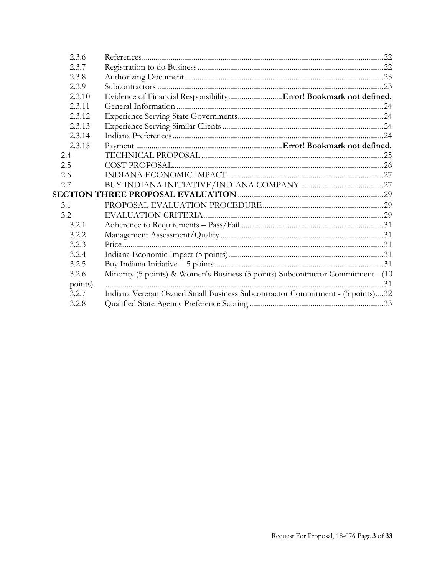| 2.3.6    |                                                                                  |
|----------|----------------------------------------------------------------------------------|
| 2.3.7    |                                                                                  |
| 2.3.8    |                                                                                  |
| 2.3.9    |                                                                                  |
| 2.3.10   |                                                                                  |
| 2.3.11   |                                                                                  |
| 2.3.12   |                                                                                  |
| 2.3.13   |                                                                                  |
| 2.3.14   |                                                                                  |
| 2.3.15   |                                                                                  |
| 2.4      |                                                                                  |
| 2.5      |                                                                                  |
| 2.6      |                                                                                  |
| 2.7      |                                                                                  |
|          |                                                                                  |
| 3.1      |                                                                                  |
| 3.2      |                                                                                  |
| 3.2.1    |                                                                                  |
| 3.2.2    |                                                                                  |
| 3.2.3    |                                                                                  |
| 3.2.4    |                                                                                  |
| 3.2.5    |                                                                                  |
| 3.2.6    | Minority (5 points) & Women's Business (5 points) Subcontractor Commitment - (10 |
| points). |                                                                                  |
| 3.2.7    | Indiana Veteran Owned Small Business Subcontractor Commitment - (5 points)32     |
| 3.2.8    |                                                                                  |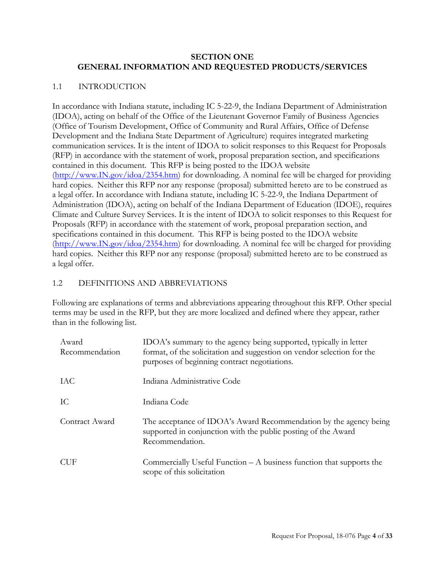#### <span id="page-3-0"></span>**SECTION ONE GENERAL INFORMATION AND REQUESTED PRODUCTS/SERVICES**

#### <span id="page-3-1"></span>1.1 INTRODUCTION

In accordance with Indiana statute, including IC 5-22-9, the Indiana Department of Administration (IDOA), acting on behalf of the Office of the Lieutenant Governor Family of Business Agencies (Office of Tourism Development, Office of Community and Rural Affairs, Office of Defense Development and the Indiana State Department of Agriculture) requires integrated marketing communication services. It is the intent of IDOA to solicit responses to this Request for Proposals (RFP) in accordance with the statement of work, proposal preparation section, and specifications contained in this document. This RFP is being posted to the IDOA website [\(http://www.IN.gov/idoa/2354.htm\)](http://www.in.gov/idoa/2354.htm) for downloading. A nominal fee will be charged for providing hard copies. Neither this RFP nor any response (proposal) submitted hereto are to be construed as a legal offer. In accordance with Indiana statute, including IC 5-22-9, the Indiana Department of Administration (IDOA), acting on behalf of the Indiana Department of Education (IDOE), requires Climate and Culture Survey Services. It is the intent of IDOA to solicit responses to this Request for Proposals (RFP) in accordance with the statement of work, proposal preparation section, and specifications contained in this document. This RFP is being posted to the IDOA website [\(http://www.IN.gov/idoa/2354.htm\)](http://www.in.gov/idoa/2354.htm) for downloading. A nominal fee will be charged for providing hard copies. Neither this RFP nor any response (proposal) submitted hereto are to be construed as a legal offer.

#### <span id="page-3-2"></span>1.2 DEFINITIONS AND ABBREVIATIONS

Following are explanations of terms and abbreviations appearing throughout this RFP. Other special terms may be used in the RFP, but they are more localized and defined where they appear, rather than in the following list.

| Award<br>Recommendation | IDOA's summary to the agency being supported, typically in letter<br>format, of the solicitation and suggestion on vendor selection for the<br>purposes of beginning contract negotiations. |
|-------------------------|---------------------------------------------------------------------------------------------------------------------------------------------------------------------------------------------|
| IAC                     | Indiana Administrative Code                                                                                                                                                                 |
| IC                      | Indiana Code                                                                                                                                                                                |
| Contract Award          | The acceptance of IDOA's Award Recommendation by the agency being<br>supported in conjunction with the public posting of the Award<br>Recommendation.                                       |
| <b>CUF</b>              | Commercially Useful Function $- A$ business function that supports the<br>scope of this solicitation                                                                                        |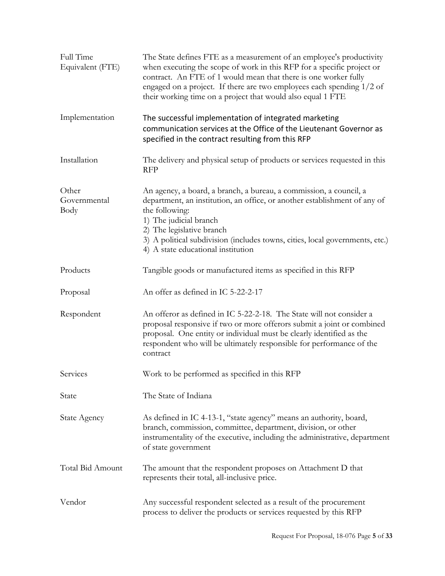| Full Time<br>Equivalent (FTE) | The State defines FTE as a measurement of an employee's productivity<br>when executing the scope of work in this RFP for a specific project or<br>contract. An FTE of 1 would mean that there is one worker fully<br>engaged on a project. If there are two employees each spending 1/2 of<br>their working time on a project that would also equal 1 FTE |
|-------------------------------|-----------------------------------------------------------------------------------------------------------------------------------------------------------------------------------------------------------------------------------------------------------------------------------------------------------------------------------------------------------|
| Implementation                | The successful implementation of integrated marketing<br>communication services at the Office of the Lieutenant Governor as<br>specified in the contract resulting from this RFP                                                                                                                                                                          |
| Installation                  | The delivery and physical setup of products or services requested in this<br><b>RFP</b>                                                                                                                                                                                                                                                                   |
| Other<br>Governmental<br>Body | An agency, a board, a branch, a bureau, a commission, a council, a<br>department, an institution, an office, or another establishment of any of<br>the following:<br>1) The judicial branch<br>2) The legislative branch<br>3) A political subdivision (includes towns, cities, local governments, etc.)<br>4) A state educational institution            |
| Products                      | Tangible goods or manufactured items as specified in this RFP                                                                                                                                                                                                                                                                                             |
| Proposal                      | An offer as defined in IC 5-22-2-17                                                                                                                                                                                                                                                                                                                       |
| Respondent                    | An offeror as defined in IC 5-22-2-18. The State will not consider a<br>proposal responsive if two or more offerors submit a joint or combined<br>proposal. One entity or individual must be clearly identified as the<br>respondent who will be ultimately responsible for performance of the<br>contract                                                |
| Services                      | Work to be performed as specified in this RFP                                                                                                                                                                                                                                                                                                             |
| State                         | The State of Indiana                                                                                                                                                                                                                                                                                                                                      |
| <b>State Agency</b>           | As defined in IC 4-13-1, "state agency" means an authority, board,<br>branch, commission, committee, department, division, or other<br>instrumentality of the executive, including the administrative, department<br>of state government                                                                                                                  |
| Total Bid Amount              | The amount that the respondent proposes on Attachment D that<br>represents their total, all-inclusive price.                                                                                                                                                                                                                                              |
| Vendor                        | Any successful respondent selected as a result of the procurement<br>process to deliver the products or services requested by this RFP                                                                                                                                                                                                                    |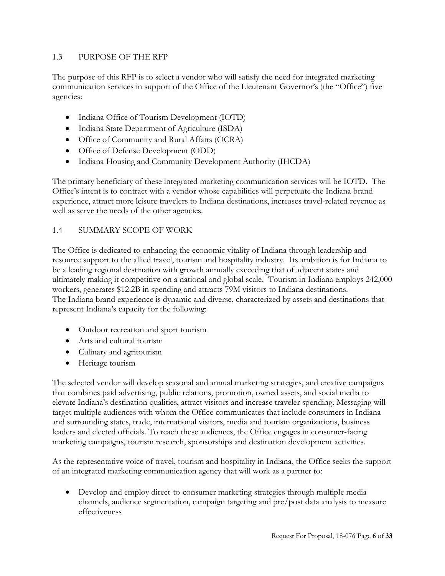### <span id="page-5-0"></span>1.3 PURPOSE OF THE RFP

The purpose of this RFP is to select a vendor who will satisfy the need for integrated marketing communication services in support of the Office of the Lieutenant Governor's (the "Office") five agencies:

- Indiana Office of Tourism Development (IOTD)
- Indiana State Department of Agriculture (ISDA)
- Office of Community and Rural Affairs (OCRA)
- Office of Defense Development (ODD)
- Indiana Housing and Community Development Authority (IHCDA)

The primary beneficiary of these integrated marketing communication services will be IOTD. The Office's intent is to contract with a vendor whose capabilities will perpetuate the Indiana brand experience, attract more leisure travelers to Indiana destinations, increases travel-related revenue as well as serve the needs of the other agencies.

# <span id="page-5-1"></span>1.4 SUMMARY SCOPE OF WORK

The Office is dedicated to enhancing the economic vitality of Indiana through leadership and resource support to the allied travel, tourism and hospitality industry. Its ambition is for Indiana to be a leading regional destination with growth annually exceeding that of adjacent states and ultimately making it competitive on a national and global scale. Tourism in Indiana employs 242,000 workers, generates \$12.2B in spending and attracts 79M visitors to Indiana destinations. The Indiana brand experience is dynamic and diverse, characterized by assets and destinations that represent Indiana's capacity for the following:

- Outdoor recreation and sport tourism
- Arts and cultural tourism
- Culinary and agritourism
- Heritage tourism

The selected vendor will develop seasonal and annual marketing strategies, and creative campaigns that combines paid advertising, public relations, promotion, owned assets, and social media to elevate Indiana's destination qualities, attract visitors and increase traveler spending. Messaging will target multiple audiences with whom the Office communicates that include consumers in Indiana and surrounding states, trade, international visitors, media and tourism organizations, business leaders and elected officials. To reach these audiences, the Office engages in consumer-facing marketing campaigns, tourism research, sponsorships and destination development activities.

As the representative voice of travel, tourism and hospitality in Indiana, the Office seeks the support of an integrated marketing communication agency that will work as a partner to:

 Develop and employ direct-to-consumer marketing strategies through multiple media channels, audience segmentation, campaign targeting and pre/post data analysis to measure effectiveness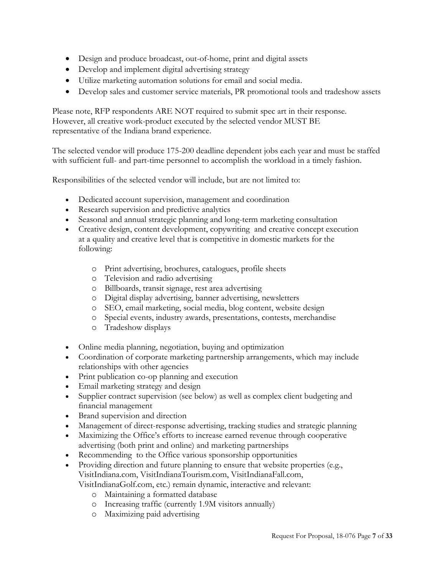- Design and produce broadcast, out-of-home, print and digital assets
- Develop and implement digital advertising strategy
- Utilize marketing automation solutions for email and social media.
- Develop sales and customer service materials, PR promotional tools and tradeshow assets

Please note, RFP respondents ARE NOT required to submit spec art in their response. However, all creative work-product executed by the selected vendor MUST BE representative of the Indiana brand experience.

The selected vendor will produce 175-200 deadline dependent jobs each year and must be staffed with sufficient full- and part-time personnel to accomplish the workload in a timely fashion.

Responsibilities of the selected vendor will include, but are not limited to:

- Dedicated account supervision, management and coordination
- Research supervision and predictive analytics
- Seasonal and annual strategic planning and long-term marketing consultation
- Creative design, content development, copywriting and creative concept execution at a quality and creative level that is competitive in domestic markets for the following:
	- o Print advertising, brochures, catalogues, profile sheets
	- o Television and radio advertising
	- o Billboards, transit signage, rest area advertising
	- o Digital display advertising, banner advertising, newsletters
	- o SEO, email marketing, social media, blog content, website design
	- o Special events, industry awards, presentations, contests, merchandise
	- o Tradeshow displays
- Online media planning, negotiation, buying and optimization
- Coordination of corporate marketing partnership arrangements, which may include relationships with other agencies
- Print publication co-op planning and execution
- Email marketing strategy and design
- Supplier contract supervision (see below) as well as complex client budgeting and financial management
- Brand supervision and direction
- Management of direct-response advertising, tracking studies and strategic planning
- Maximizing the Office's efforts to increase earned revenue through cooperative advertising (both print and online) and marketing partnerships
- Recommending to the Office various sponsorship opportunities
- Providing direction and future planning to ensure that website properties (e.g., VisitIndiana.com, VisitIndianaTourism.com, VisitIndianaFall.com,

VisitIndianaGolf.com, etc.) remain dynamic, interactive and relevant:

- o Maintaining a formatted database
- o Increasing traffic (currently 1.9M visitors annually)
- o Maximizing paid advertising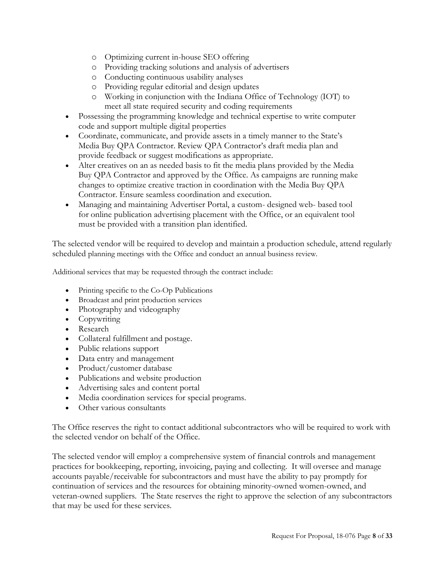- o Optimizing current in-house SEO offering
- o Providing tracking solutions and analysis of advertisers
- o Conducting continuous usability analyses
- o Providing regular editorial and design updates
- o Working in conjunction with the Indiana Office of Technology (IOT) to meet all state required security and coding requirements
- Possessing the programming knowledge and technical expertise to write computer code and support multiple digital properties
- Coordinate, communicate, and provide assets in a timely manner to the State's Media Buy QPA Contractor. Review QPA Contractor's draft media plan and provide feedback or suggest modifications as appropriate.
- Alter creatives on an as needed basis to fit the media plans provided by the Media Buy QPA Contractor and approved by the Office. As campaigns are running make changes to optimize creative traction in coordination with the Media Buy QPA Contractor. Ensure seamless coordination and execution.
- Managing and maintaining Advertiser Portal, a custom- designed web- based tool for online publication advertising placement with the Office, or an equivalent tool must be provided with a transition plan identified.

The selected vendor will be required to develop and maintain a production schedule, attend regularly scheduled planning meetings with the Office and conduct an annual business review.

Additional services that may be requested through the contract include:

- Printing specific to the Co-Op Publications
- Broadcast and print production services
- Photography and videography
- Copywriting
- Research
- Collateral fulfillment and postage.
- Public relations support
- Data entry and management
- Product/customer database
- Publications and website production
- Advertising sales and content portal
- Media coordination services for special programs.
- Other various consultants

The Office reserves the right to contact additional subcontractors who will be required to work with the selected vendor on behalf of the Office.

The selected vendor will employ a comprehensive system of financial controls and management practices for bookkeeping, reporting, invoicing, paying and collecting. It will oversee and manage accounts payable/receivable for subcontractors and must have the ability to pay promptly for continuation of services and the resources for obtaining minority-owned women-owned, and veteran-owned suppliers. The State reserves the right to approve the selection of any subcontractors that may be used for these services.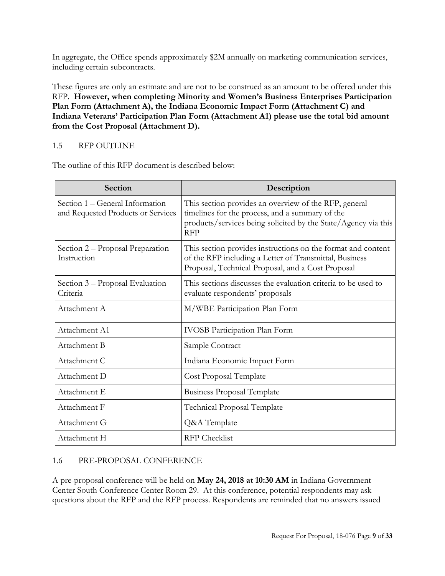In aggregate, the Office spends approximately \$2M annually on marketing communication services, including certain subcontracts.

These figures are only an estimate and are not to be construed as an amount to be offered under this RFP. **However, when completing Minority and Women's Business Enterprises Participation Plan Form (Attachment A), the Indiana Economic Impact Form (Attachment C) and Indiana Veterans' Participation Plan Form (Attachment A1) please use the total bid amount from the Cost Proposal (Attachment D).**

# <span id="page-8-0"></span>1.5 RFP OUTLINE

The outline of this RFP document is described below:

| <b>Section</b>                                                        | Description                                                                                                                                                                              |  |  |  |
|-----------------------------------------------------------------------|------------------------------------------------------------------------------------------------------------------------------------------------------------------------------------------|--|--|--|
| Section 1 - General Information<br>and Requested Products or Services | This section provides an overview of the RFP, general<br>timelines for the process, and a summary of the<br>products/services being solicited by the State/Agency via this<br><b>RFP</b> |  |  |  |
| Section 2 – Proposal Preparation<br>Instruction                       | This section provides instructions on the format and content<br>of the RFP including a Letter of Transmittal, Business<br>Proposal, Technical Proposal, and a Cost Proposal              |  |  |  |
| Section 3 – Proposal Evaluation<br>Criteria                           | This sections discusses the evaluation criteria to be used to<br>evaluate respondents' proposals                                                                                         |  |  |  |
| Attachment A                                                          | M/WBE Participation Plan Form                                                                                                                                                            |  |  |  |
| Attachment A1                                                         | <b>IVOSB</b> Participation Plan Form                                                                                                                                                     |  |  |  |
| Attachment B                                                          | Sample Contract                                                                                                                                                                          |  |  |  |
| Attachment C                                                          | Indiana Economic Impact Form                                                                                                                                                             |  |  |  |
| Attachment D                                                          | Cost Proposal Template                                                                                                                                                                   |  |  |  |
| Attachment E                                                          | <b>Business Proposal Template</b>                                                                                                                                                        |  |  |  |
| Attachment F                                                          | <b>Technical Proposal Template</b>                                                                                                                                                       |  |  |  |
| Attachment G                                                          | Q&A Template                                                                                                                                                                             |  |  |  |
| Attachment H                                                          | <b>RFP</b> Checklist                                                                                                                                                                     |  |  |  |

# <span id="page-8-1"></span>1.6 PRE-PROPOSAL CONFERENCE

A pre-proposal conference will be held on **May 24, 2018 at 10:30 AM** in Indiana Government Center South Conference Center Room 29. At this conference, potential respondents may ask questions about the RFP and the RFP process. Respondents are reminded that no answers issued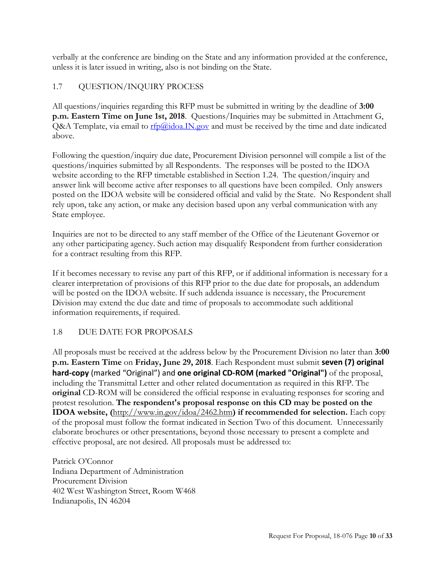verbally at the conference are binding on the State and any information provided at the conference, unless it is later issued in writing, also is not binding on the State.

# <span id="page-9-0"></span>1.7 QUESTION/INQUIRY PROCESS

All questions/inquiries regarding this RFP must be submitted in writing by the deadline of **3:00 p.m. Eastern Time on June 1st, 2018**. Questions/Inquiries may be submitted in Attachment G, Q&A Template, via email to  $\frac{r f_0(a)}{d \cdot d}$  and must be received by the time and date indicated above.

Following the question/inquiry due date, Procurement Division personnel will compile a list of the questions/inquiries submitted by all Respondents. The responses will be posted to the IDOA website according to the RFP timetable established in Section 1.24. The question/inquiry and answer link will become active after responses to all questions have been compiled. Only answers posted on the IDOA website will be considered official and valid by the State. No Respondent shall rely upon, take any action, or make any decision based upon any verbal communication with any State employee.

Inquiries are not to be directed to any staff member of the Office of the Lieutenant Governor or any other participating agency. Such action may disqualify Respondent from further consideration for a contract resulting from this RFP.

If it becomes necessary to revise any part of this RFP, or if additional information is necessary for a clearer interpretation of provisions of this RFP prior to the due date for proposals, an addendum will be posted on the IDOA website. If such addenda issuance is necessary, the Procurement Division may extend the due date and time of proposals to accommodate such additional information requirements, if required.

# <span id="page-9-1"></span>1.8 DUE DATE FOR PROPOSALS

All proposals must be received at the address below by the Procurement Division no later than **3:00 p.m. Eastern Time** on **Friday, June 29, 2018**. Each Respondent must submit **seven (7) original hard-copy** (marked "Original") and **one original CD-ROM (marked "Original")** of the proposal, including the Transmittal Letter and other related documentation as required in this RFP. The **original** CD-ROM will be considered the official response in evaluating responses for scoring and protest resolution. **The respondent's proposal response on this CD may be posted on the IDOA website, (**http://www.in.gov/idoa/2462.htm**) if recommended for selection.** Each copy of the proposal must follow the format indicated in Section Two of this document. Unnecessarily elaborate brochures or other presentations, beyond those necessary to present a complete and effective proposal, are not desired. All proposals must be addressed to:

Patrick O'Connor Indiana Department of Administration Procurement Division 402 West Washington Street, Room W468 Indianapolis, IN 46204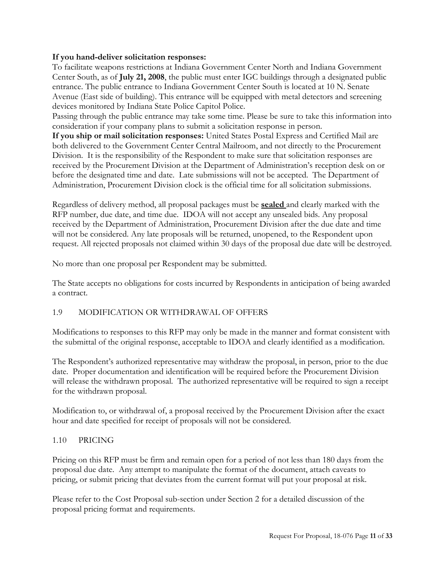#### **If you hand-deliver solicitation responses:**

To facilitate weapons restrictions at Indiana Government Center North and Indiana Government Center South, as of **July 21, 2008**, the public must enter IGC buildings through a designated public entrance. The public entrance to Indiana Government Center South is located at 10 N. Senate Avenue (East side of building). This entrance will be equipped with metal detectors and screening devices monitored by Indiana State Police Capitol Police.

Passing through the public entrance may take some time. Please be sure to take this information into consideration if your company plans to submit a solicitation response in person.

**If you ship or mail solicitation responses:** United States Postal Express and Certified Mail are both delivered to the Government Center Central Mailroom, and not directly to the Procurement Division. It is the responsibility of the Respondent to make sure that solicitation responses are received by the Procurement Division at the Department of Administration's reception desk on or before the designated time and date. Late submissions will not be accepted. The Department of Administration, Procurement Division clock is the official time for all solicitation submissions.

Regardless of delivery method, all proposal packages must be **sealed** and clearly marked with the RFP number, due date, and time due. IDOA will not accept any unsealed bids. Any proposal received by the Department of Administration, Procurement Division after the due date and time will not be considered. Any late proposals will be returned, unopened, to the Respondent upon request. All rejected proposals not claimed within 30 days of the proposal due date will be destroyed.

No more than one proposal per Respondent may be submitted.

The State accepts no obligations for costs incurred by Respondents in anticipation of being awarded a contract.

#### <span id="page-10-0"></span>1.9 MODIFICATION OR WITHDRAWAL OF OFFERS

Modifications to responses to this RFP may only be made in the manner and format consistent with the submittal of the original response, acceptable to IDOA and clearly identified as a modification.

The Respondent's authorized representative may withdraw the proposal, in person, prior to the due date. Proper documentation and identification will be required before the Procurement Division will release the withdrawn proposal. The authorized representative will be required to sign a receipt for the withdrawn proposal.

Modification to, or withdrawal of, a proposal received by the Procurement Division after the exact hour and date specified for receipt of proposals will not be considered.

#### <span id="page-10-1"></span>1.10 PRICING

Pricing on this RFP must be firm and remain open for a period of not less than 180 days from the proposal due date. Any attempt to manipulate the format of the document, attach caveats to pricing, or submit pricing that deviates from the current format will put your proposal at risk.

Please refer to the Cost Proposal sub-section under Section 2 for a detailed discussion of the proposal pricing format and requirements.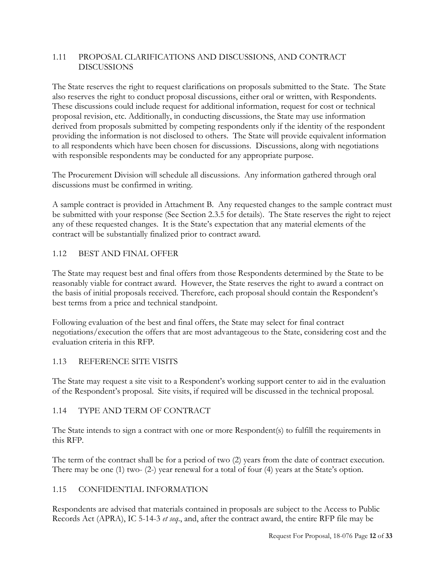# <span id="page-11-0"></span>1.11 PROPOSAL CLARIFICATIONS AND DISCUSSIONS, AND CONTRACT DISCUSSIONS

The State reserves the right to request clarifications on proposals submitted to the State. The State also reserves the right to conduct proposal discussions, either oral or written, with Respondents. These discussions could include request for additional information, request for cost or technical proposal revision, etc. Additionally, in conducting discussions, the State may use information derived from proposals submitted by competing respondents only if the identity of the respondent providing the information is not disclosed to others. The State will provide equivalent information to all respondents which have been chosen for discussions. Discussions, along with negotiations with responsible respondents may be conducted for any appropriate purpose.

The Procurement Division will schedule all discussions. Any information gathered through oral discussions must be confirmed in writing.

A sample contract is provided in Attachment B. Any requested changes to the sample contract must be submitted with your response (See Section 2.3.5 for details). The State reserves the right to reject any of these requested changes. It is the State's expectation that any material elements of the contract will be substantially finalized prior to contract award.

# <span id="page-11-1"></span>1.12 BEST AND FINAL OFFER

The State may request best and final offers from those Respondents determined by the State to be reasonably viable for contract award. However, the State reserves the right to award a contract on the basis of initial proposals received. Therefore, each proposal should contain the Respondent's best terms from a price and technical standpoint.

Following evaluation of the best and final offers, the State may select for final contract negotiations/execution the offers that are most advantageous to the State, considering cost and the evaluation criteria in this RFP.

#### <span id="page-11-2"></span>1.13 REFERENCE SITE VISITS

The State may request a site visit to a Respondent's working support center to aid in the evaluation of the Respondent's proposal. Site visits, if required will be discussed in the technical proposal.

#### <span id="page-11-3"></span>1.14 TYPE AND TERM OF CONTRACT

The State intends to sign a contract with one or more Respondent(s) to fulfill the requirements in this RFP.

The term of the contract shall be for a period of two (2) years from the date of contract execution. There may be one (1) two- (2-) year renewal for a total of four (4) years at the State's option.

#### <span id="page-11-4"></span>1.15 CONFIDENTIAL INFORMATION

Respondents are advised that materials contained in proposals are subject to the Access to Public Records Act (APRA), IC 5-14-3 *et seq*., and, after the contract award, the entire RFP file may be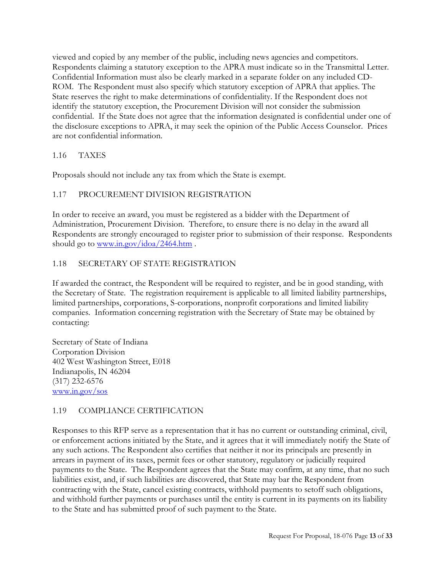viewed and copied by any member of the public, including news agencies and competitors. Respondents claiming a statutory exception to the APRA must indicate so in the Transmittal Letter. Confidential Information must also be clearly marked in a separate folder on any included CD-ROM. The Respondent must also specify which statutory exception of APRA that applies. The State reserves the right to make determinations of confidentiality. If the Respondent does not identify the statutory exception, the Procurement Division will not consider the submission confidential. If the State does not agree that the information designated is confidential under one of the disclosure exceptions to APRA, it may seek the opinion of the Public Access Counselor. Prices are not confidential information.

# <span id="page-12-0"></span>1.16 TAXES

Proposals should not include any tax from which the State is exempt.

# <span id="page-12-1"></span>1.17 PROCUREMENT DIVISION REGISTRATION

In order to receive an award, you must be registered as a bidder with the Department of Administration, Procurement Division. Therefore, to ensure there is no delay in the award all Respondents are strongly encouraged to register prior to submission of their response. Respondents should go to [www.in.gov/idoa/2464.htm](http://www.in.gov/idoa/2464.htm).

# <span id="page-12-2"></span>1.18 SECRETARY OF STATE REGISTRATION

If awarded the contract, the Respondent will be required to register, and be in good standing, with the Secretary of State. The registration requirement is applicable to all limited liability partnerships, limited partnerships, corporations, S-corporations, nonprofit corporations and limited liability companies. Information concerning registration with the Secretary of State may be obtained by contacting:

Secretary of State of Indiana Corporation Division 402 West Washington Street, E018 Indianapolis, IN 46204 (317) 232-6576 [www.in.gov/sos](http://www.in.gov/sos)

#### <span id="page-12-3"></span>1.19 COMPLIANCE CERTIFICATION

Responses to this RFP serve as a representation that it has no current or outstanding criminal, civil, or enforcement actions initiated by the State, and it agrees that it will immediately notify the State of any such actions. The Respondent also certifies that neither it nor its principals are presently in arrears in payment of its taxes, permit fees or other statutory, regulatory or judicially required payments to the State. The Respondent agrees that the State may confirm, at any time, that no such liabilities exist, and, if such liabilities are discovered, that State may bar the Respondent from contracting with the State, cancel existing contracts, withhold payments to setoff such obligations, and withhold further payments or purchases until the entity is current in its payments on its liability to the State and has submitted proof of such payment to the State.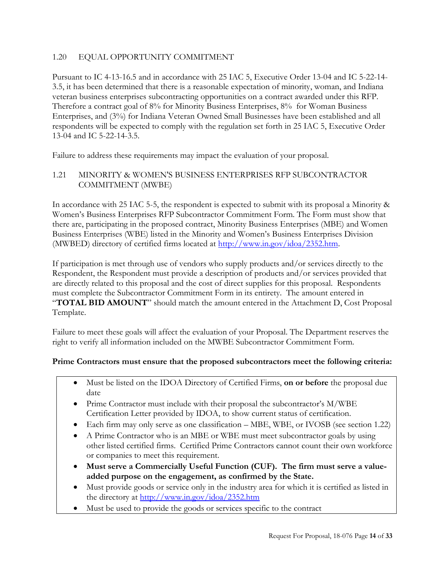# <span id="page-13-0"></span>1.20 EQUAL OPPORTUNITY COMMITMENT

Pursuant to IC 4-13-16.5 and in accordance with 25 IAC 5, Executive Order 13-04 and IC 5-22-14- 3.5, it has been determined that there is a reasonable expectation of minority, woman, and Indiana veteran business enterprises subcontracting opportunities on a contract awarded under this RFP. Therefore a contract goal of 8% for Minority Business Enterprises, 8% for Woman Business Enterprises, and (3%) for Indiana Veteran Owned Small Businesses have been established and all respondents will be expected to comply with the regulation set forth in 25 IAC 5, Executive Order 13-04 and IC 5-22-14-3.5.

Failure to address these requirements may impact the evaluation of your proposal.

# <span id="page-13-1"></span>1.21 MINORITY & WOMEN'S BUSINESS ENTERPRISES RFP SUBCONTRACTOR COMMITMENT (MWBE)

In accordance with 25 IAC 5-5, the respondent is expected to submit with its proposal a Minority & Women's Business Enterprises RFP Subcontractor Commitment Form. The Form must show that there are, participating in the proposed contract, Minority Business Enterprises (MBE) and Women Business Enterprises (WBE) listed in the Minority and Women's Business Enterprises Division (MWBED) directory of certified firms located at [http://www.in.gov/idoa/2352.htm.](http://www.in.gov/idoa/2867.htm)

If participation is met through use of vendors who supply products and/or services directly to the Respondent, the Respondent must provide a description of products and/or services provided that are directly related to this proposal and the cost of direct supplies for this proposal. Respondents must complete the Subcontractor Commitment Form in its entirety. The amount entered in "**TOTAL BID AMOUNT**" should match the amount entered in the Attachment D, Cost Proposal Template.

Failure to meet these goals will affect the evaluation of your Proposal. The Department reserves the right to verify all information included on the MWBE Subcontractor Commitment Form.

# **Prime Contractors must ensure that the proposed subcontractors meet the following criteria:**

- Must be listed on the IDOA Directory of Certified Firms, **on or before** the proposal due date
- Prime Contractor must include with their proposal the subcontractor's M/WBE Certification Letter provided by IDOA, to show current status of certification.
- Each firm may only serve as one classification MBE, WBE, or IVOSB (see section 1.22)
- A Prime Contractor who is an MBE or WBE must meet subcontractor goals by using other listed certified firms. Certified Prime Contractors cannot count their own workforce or companies to meet this requirement.
- **Must serve a Commercially Useful Function (CUF). The firm must serve a valueadded purpose on the engagement, as confirmed by the State.**
- Must provide goods or service only in the industry area for which it is certified as listed in the directory at [http://www.in.gov/idoa/2352.htm](http://www.in.gov/idoa/2867.htm)
- Must be used to provide the goods or services specific to the contract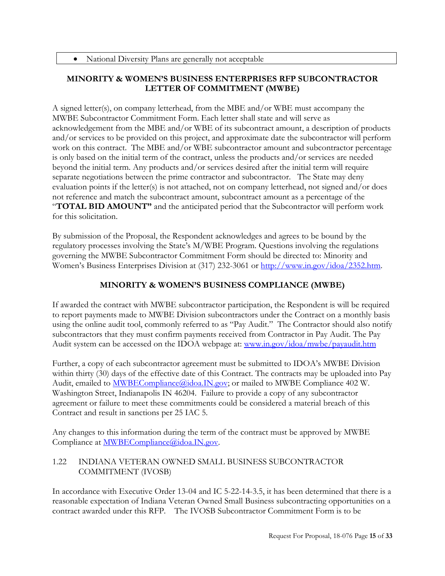# **MINORITY & WOMEN'S BUSINESS ENTERPRISES RFP SUBCONTRACTOR LETTER OF COMMITMENT (MWBE)**

A signed letter(s), on company letterhead, from the MBE and/or WBE must accompany the MWBE Subcontractor Commitment Form. Each letter shall state and will serve as acknowledgement from the MBE and/or WBE of its subcontract amount, a description of products and/or services to be provided on this project, and approximate date the subcontractor will perform work on this contract. The MBE and/or WBE subcontractor amount and subcontractor percentage is only based on the initial term of the contract, unless the products and/or services are needed beyond the initial term. Any products and/or services desired after the initial term will require separate negotiations between the prime contractor and subcontractor. The State may deny evaluation points if the letter(s) is not attached, not on company letterhead, not signed and/or does not reference and match the subcontract amount, subcontract amount as a percentage of the "**TOTAL BID AMOUNT"** and the anticipated period that the Subcontractor will perform work for this solicitation.

By submission of the Proposal, the Respondent acknowledges and agrees to be bound by the regulatory processes involving the State's M/WBE Program. Questions involving the regulations governing the MWBE Subcontractor Commitment Form should be directed to: Minority and Women's Business Enterprises Division at (317) 232-3061 or [http://www.in.gov/idoa/2352.htm.](http://www.in.gov/idoa/2867.htm)

# **MINORITY & WOMEN'S BUSINESS COMPLIANCE (MWBE)**

If awarded the contract with MWBE subcontractor participation, the Respondent is will be required to report payments made to MWBE Division subcontractors under the Contract on a monthly basis using the online audit tool, commonly referred to as "Pay Audit." The Contractor should also notify subcontractors that they must confirm payments received from Contractor in Pay Audit. The Pay Audit system can be accessed on the IDOA webpage at: [www.in.gov/idoa/mwbe/payaudit.htm](http://www.in.gov/idoa/mwbe/payaudit.htm)

Further, a copy of each subcontractor agreement must be submitted to IDOA's MWBE Division within thirty (30) days of the effective date of this Contract. The contracts may be uploaded into Pay Audit, emailed to **MWBECompliance**@idoa.IN.gov; or mailed to MWBE Compliance 402 W. Washington Street, Indianapolis IN 46204. Failure to provide a copy of any subcontractor agreement or failure to meet these commitments could be considered a material breach of this Contract and result in sanctions per 25 IAC 5.

Any changes to this information during the term of the contract must be approved by MWBE Compliance at [MWBECompliance@idoa.IN.gov.](mailto:MWBECompliance@idoa.IN.gov)

# <span id="page-14-0"></span>1.22 INDIANA VETERAN OWNED SMALL BUSINESS SUBCONTRACTOR COMMITMENT (IVOSB)

In accordance with Executive Order 13-04 and IC 5-22-14-3.5, it has been determined that there is a reasonable expectation of Indiana Veteran Owned Small Business subcontracting opportunities on a contract awarded under this RFP. The IVOSB Subcontractor Commitment Form is to be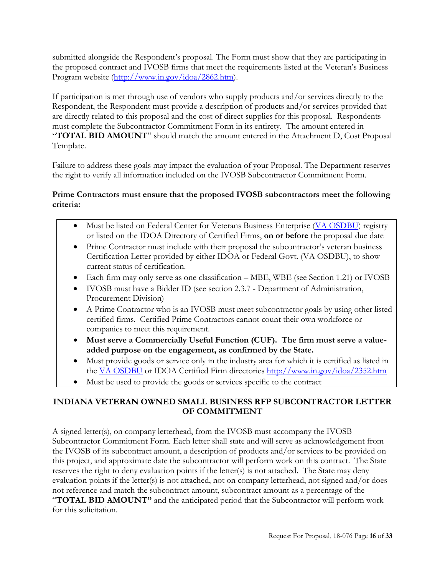submitted alongside the Respondent's proposal. The Form must show that they are participating in the proposed contract and IVOSB firms that meet the requirements listed at the Veteran's Business Program website [\(http://www.in.gov/idoa/2862.htm\)](http://www.in.gov/idoa/2862.htm).

If participation is met through use of vendors who supply products and/or services directly to the Respondent, the Respondent must provide a description of products and/or services provided that are directly related to this proposal and the cost of direct supplies for this proposal. Respondents must complete the Subcontractor Commitment Form in its entirety. The amount entered in "**TOTAL BID AMOUNT**" should match the amount entered in the Attachment D, Cost Proposal Template.

Failure to address these goals may impact the evaluation of your Proposal. The Department reserves the right to verify all information included on the IVOSB Subcontractor Commitment Form.

# **Prime Contractors must ensure that the proposed IVOSB subcontractors meet the following criteria:**

- Must be listed on Federal Center for Veterans Business Enterprise [\(VA OSDBU\)](http://www.va.gov/osdbu/) registry or listed on the IDOA Directory of Certified Firms, **on or before** the proposal due date
- Prime Contractor must include with their proposal the subcontractor's veteran business Certification Letter provided by either IDOA or Federal Govt. (VA OSDBU), to show current status of certification.
- Each firm may only serve as one classification MBE, WBE (see Section 1.21) or IVOSB
- IVOSB must have a Bidder ID (see section 2.3.7 Department of Administration, Procurement Division)
- A Prime Contractor who is an IVOSB must meet subcontractor goals by using other listed certified firms. Certified Prime Contractors cannot count their own workforce or companies to meet this requirement.
- **Must serve a Commercially Useful Function (CUF). The firm must serve a valueadded purpose on the engagement, as confirmed by the State.**
- Must provide goods or service only in the industry area for which it is certified as listed in the [VA OSDBU](http://www.va.gov/osdbu/) or IDOA Certified Firm directories <http://www.in.gov/idoa/2352.htm>
- Must be used to provide the goods or services specific to the contract

# **INDIANA VETERAN OWNED SMALL BUSINESS RFP SUBCONTRACTOR LETTER OF COMMITMENT**

A signed letter(s), on company letterhead, from the IVOSB must accompany the IVOSB Subcontractor Commitment Form. Each letter shall state and will serve as acknowledgement from the IVOSB of its subcontract amount, a description of products and/or services to be provided on this project, and approximate date the subcontractor will perform work on this contract. The State reserves the right to deny evaluation points if the letter(s) is not attached. The State may deny evaluation points if the letter(s) is not attached, not on company letterhead, not signed and/or does not reference and match the subcontract amount, subcontract amount as a percentage of the "**TOTAL BID AMOUNT"** and the anticipated period that the Subcontractor will perform work for this solicitation.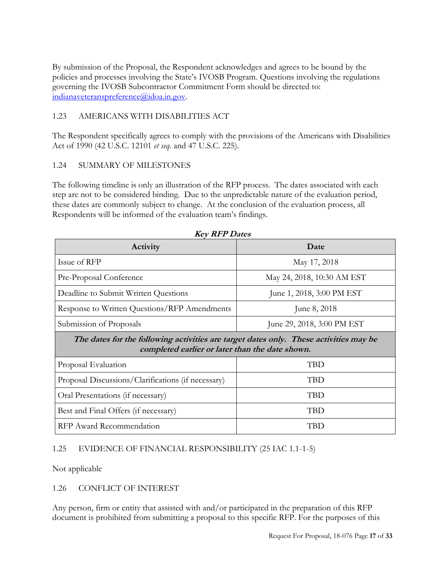By submission of the Proposal, the Respondent acknowledges and agrees to be bound by the policies and processes involving the State's IVOSB Program. Questions involving the regulations governing the IVOSB Subcontractor Commitment Form should be directed to: [indianaveteranspreference@idoa.in.gov.](mailto:indianaveteranspreference@idoa.in.gov)

# <span id="page-16-0"></span>1.23 AMERICANS WITH DISABILITIES ACT

The Respondent specifically agrees to comply with the provisions of the Americans with Disabilities Act of 1990 (42 U.S.C. 12101 *et seq*. and 47 U.S.C. 225).

#### <span id="page-16-1"></span>1.24 SUMMARY OF MILESTONES

The following timeline is only an illustration of the RFP process. The dates associated with each step are not to be considered binding. Due to the unpredictable nature of the evaluation period, these dates are commonly subject to change. At the conclusion of the evaluation process, all Respondents will be informed of the evaluation team's findings.

| <b>Key KFP Dates</b>                                                                                                                     |                            |  |  |  |  |  |
|------------------------------------------------------------------------------------------------------------------------------------------|----------------------------|--|--|--|--|--|
| Activity                                                                                                                                 | Date                       |  |  |  |  |  |
| Issue of RFP                                                                                                                             | May 17, 2018               |  |  |  |  |  |
| Pre-Proposal Conference                                                                                                                  | May 24, 2018, 10:30 AM EST |  |  |  |  |  |
| Deadline to Submit Written Questions                                                                                                     | June 1, 2018, 3:00 PM EST  |  |  |  |  |  |
| Response to Written Questions/RFP Amendments                                                                                             | June 8, 2018               |  |  |  |  |  |
| Submission of Proposals                                                                                                                  | June 29, 2018, 3:00 PM EST |  |  |  |  |  |
| The dates for the following activities are target dates only. These activities may be<br>completed earlier or later than the date shown. |                            |  |  |  |  |  |
| Proposal Evaluation                                                                                                                      | TBD                        |  |  |  |  |  |
| Proposal Discussions/Clarifications (if necessary)                                                                                       | <b>TBD</b>                 |  |  |  |  |  |
| Oral Presentations (if necessary)                                                                                                        | TBD                        |  |  |  |  |  |

**Key RFP Dates** 

#### <span id="page-16-2"></span>1.25 EVIDENCE OF FINANCIAL RESPONSIBILITY (25 IAC 1.1-1-5)

Best and Final Offers (if necessary) TBD

RFP Award Recommendation TBD

Not applicable

#### <span id="page-16-3"></span>1.26 CONFLICT OF INTEREST

Any person, firm or entity that assisted with and/or participated in the preparation of this RFP document is prohibited from submitting a proposal to this specific RFP. For the purposes of this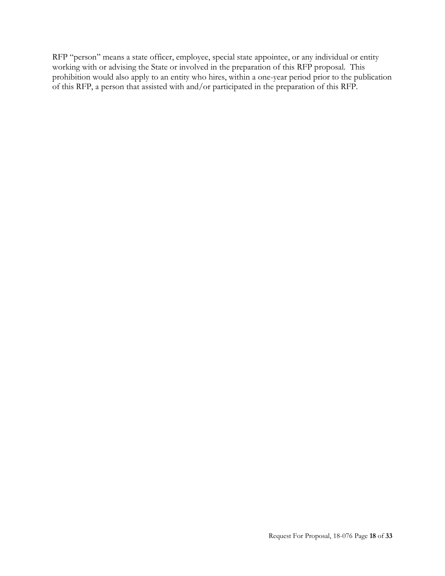RFP "person" means a state officer, employee, special state appointee, or any individual or entity working with or advising the State or involved in the preparation of this RFP proposal. This prohibition would also apply to an entity who hires, within a one-year period prior to the publication of this RFP, a person that assisted with and/or participated in the preparation of this RFP.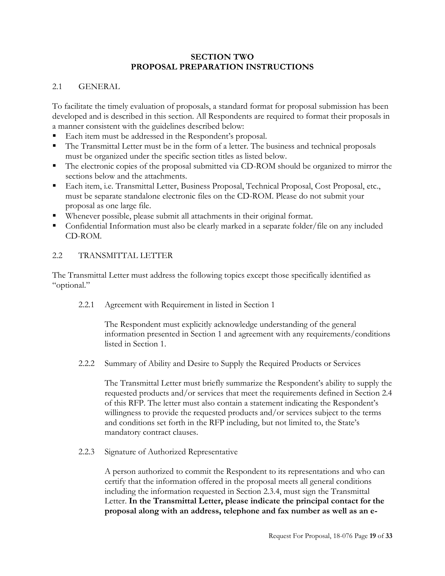#### **SECTION TWO PROPOSAL PREPARATION INSTRUCTIONS**

#### <span id="page-18-1"></span><span id="page-18-0"></span>2.1 GENERAL

To facilitate the timely evaluation of proposals, a standard format for proposal submission has been developed and is described in this section. All Respondents are required to format their proposals in a manner consistent with the guidelines described below:

- Each item must be addressed in the Respondent's proposal.
- The Transmittal Letter must be in the form of a letter. The business and technical proposals must be organized under the specific section titles as listed below.
- The electronic copies of the proposal submitted via CD-ROM should be organized to mirror the sections below and the attachments.
- Each item, i.e. Transmittal Letter, Business Proposal, Technical Proposal, Cost Proposal, etc., must be separate standalone electronic files on the CD-ROM. Please do not submit your proposal as one large file.
- Whenever possible, please submit all attachments in their original format.
- Confidential Information must also be clearly marked in a separate folder/file on any included CD-ROM.

#### <span id="page-18-2"></span>2.2 TRANSMITTAL LETTER

The Transmittal Letter must address the following topics except those specifically identified as "optional."

<span id="page-18-3"></span>2.2.1 Agreement with Requirement in listed in Section 1

The Respondent must explicitly acknowledge understanding of the general information presented in Section 1 and agreement with any requirements/conditions listed in Section 1.

<span id="page-18-4"></span>2.2.2 Summary of Ability and Desire to Supply the Required Products or Services

The Transmittal Letter must briefly summarize the Respondent's ability to supply the requested products and/or services that meet the requirements defined in Section 2.4 of this RFP. The letter must also contain a statement indicating the Respondent's willingness to provide the requested products and/or services subject to the terms and conditions set forth in the RFP including, but not limited to, the State's mandatory contract clauses.

<span id="page-18-5"></span>2.2.3 Signature of Authorized Representative

A person authorized to commit the Respondent to its representations and who can certify that the information offered in the proposal meets all general conditions including the information requested in Section 2.3.4, must sign the Transmittal Letter. **In the Transmittal Letter, please indicate the principal contact for the proposal along with an address, telephone and fax number as well as an e-**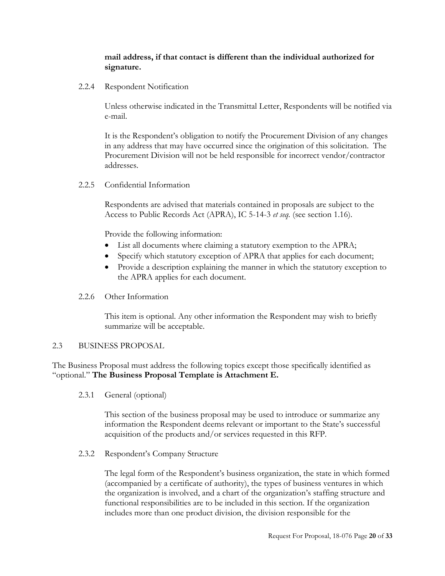### **mail address, if that contact is different than the individual authorized for signature.**

<span id="page-19-0"></span>2.2.4 Respondent Notification

Unless otherwise indicated in the Transmittal Letter, Respondents will be notified via e-mail.

It is the Respondent's obligation to notify the Procurement Division of any changes in any address that may have occurred since the origination of this solicitation. The Procurement Division will not be held responsible for incorrect vendor/contractor addresses.

<span id="page-19-1"></span>2.2.5 Confidential Information

Respondents are advised that materials contained in proposals are subject to the Access to Public Records Act (APRA), IC 5-14-3 *et seq.* (see section 1.16).

Provide the following information:

- List all documents where claiming a statutory exemption to the APRA;
- Specify which statutory exception of APRA that applies for each document;
- Provide a description explaining the manner in which the statutory exception to the APRA applies for each document.
- <span id="page-19-2"></span>2.2.6 Other Information

This item is optional. Any other information the Respondent may wish to briefly summarize will be acceptable.

#### <span id="page-19-3"></span>2.3 BUSINESS PROPOSAL

The Business Proposal must address the following topics except those specifically identified as "optional." **The Business Proposal Template is Attachment E.** 

<span id="page-19-4"></span>2.3.1 General (optional)

This section of the business proposal may be used to introduce or summarize any information the Respondent deems relevant or important to the State's successful acquisition of the products and/or services requested in this RFP.

<span id="page-19-5"></span>2.3.2 Respondent's Company Structure

The legal form of the Respondent's business organization, the state in which formed (accompanied by a certificate of authority), the types of business ventures in which the organization is involved, and a chart of the organization's staffing structure and functional responsibilities are to be included in this section. If the organization includes more than one product division, the division responsible for the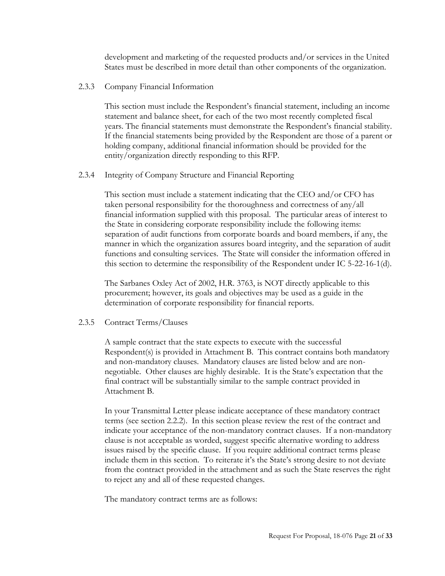development and marketing of the requested products and/or services in the United States must be described in more detail than other components of the organization.

<span id="page-20-0"></span>2.3.3 Company Financial Information

This section must include the Respondent's financial statement, including an income statement and balance sheet, for each of the two most recently completed fiscal years. The financial statements must demonstrate the Respondent's financial stability. If the financial statements being provided by the Respondent are those of a parent or holding company, additional financial information should be provided for the entity/organization directly responding to this RFP.

#### <span id="page-20-1"></span>2.3.4 Integrity of Company Structure and Financial Reporting

This section must include a statement indicating that the CEO and/or CFO has taken personal responsibility for the thoroughness and correctness of any/all financial information supplied with this proposal. The particular areas of interest to the State in considering corporate responsibility include the following items: separation of audit functions from corporate boards and board members, if any, the manner in which the organization assures board integrity, and the separation of audit functions and consulting services. The State will consider the information offered in this section to determine the responsibility of the Respondent under IC 5-22-16-1(d).

The Sarbanes Oxley Act of 2002, H.R. 3763, is NOT directly applicable to this procurement; however, its goals and objectives may be used as a guide in the determination of corporate responsibility for financial reports.

#### <span id="page-20-2"></span>2.3.5 Contract Terms/Clauses

A sample contract that the state expects to execute with the successful Respondent(s) is provided in Attachment B. This contract contains both mandatory and non-mandatory clauses. Mandatory clauses are listed below and are nonnegotiable. Other clauses are highly desirable. It is the State's expectation that the final contract will be substantially similar to the sample contract provided in Attachment B.

In your Transmittal Letter please indicate acceptance of these mandatory contract terms (see section 2.2.2). In this section please review the rest of the contract and indicate your acceptance of the non-mandatory contract clauses. If a non-mandatory clause is not acceptable as worded, suggest specific alternative wording to address issues raised by the specific clause. If you require additional contract terms please include them in this section. To reiterate it's the State's strong desire to not deviate from the contract provided in the attachment and as such the State reserves the right to reject any and all of these requested changes.

The mandatory contract terms are as follows: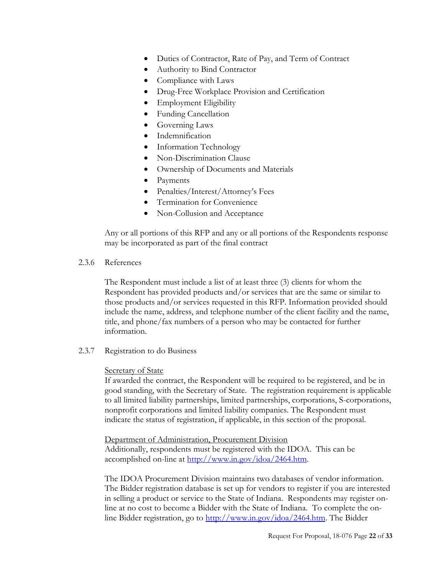- Duties of Contractor, Rate of Pay, and Term of Contract
- Authority to Bind Contractor
- Compliance with Laws
- Drug-Free Workplace Provision and Certification
- Employment Eligibility
- Funding Cancellation
- Governing Laws
- Indemnification
- Information Technology
- Non-Discrimination Clause
- Ownership of Documents and Materials
- Payments
- Penalties/Interest/Attorney's Fees
- Termination for Convenience
- Non-Collusion and Acceptance

Any or all portions of this RFP and any or all portions of the Respondents response may be incorporated as part of the final contract

#### <span id="page-21-0"></span>2.3.6 References

The Respondent must include a list of at least three (3) clients for whom the Respondent has provided products and/or services that are the same or similar to those products and/or services requested in this RFP. Information provided should include the name, address, and telephone number of the client facility and the name, title, and phone/fax numbers of a person who may be contacted for further information.

<span id="page-21-1"></span>2.3.7 Registration to do Business

#### Secretary of State

If awarded the contract, the Respondent will be required to be registered, and be in good standing, with the Secretary of State. The registration requirement is applicable to all limited liability partnerships, limited partnerships, corporations, S-corporations, nonprofit corporations and limited liability companies. The Respondent must indicate the status of registration, if applicable, in this section of the proposal.

#### Department of Administration, Procurement Division

Additionally, respondents must be registered with the IDOA. This can be accomplished on-line at [http://www.in.gov/idoa/2464.htm.](http://www.in.gov/idoa/2464.htm)

The IDOA Procurement Division maintains two databases of vendor information. The Bidder registration database is set up for vendors to register if you are interested in selling a product or service to the State of Indiana. Respondents may register online at no cost to become a Bidder with the State of Indiana. To complete the online Bidder registration, go to [http://www.in.gov/idoa/2464.htm.](http://www.in.gov/idoa/2464.htm) The Bidder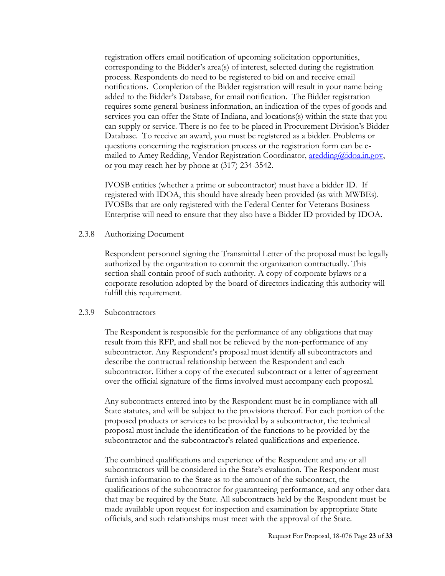registration offers email notification of upcoming solicitation opportunities, corresponding to the Bidder's area(s) of interest, selected during the registration process. Respondents do need to be registered to bid on and receive email notifications. Completion of the Bidder registration will result in your name being added to the Bidder's Database, for email notification. The Bidder registration requires some general business information, an indication of the types of goods and services you can offer the State of Indiana, and locations(s) within the state that you can supply or service. There is no fee to be placed in Procurement Division's Bidder Database. To receive an award, you must be registered as a bidder. Problems or questions concerning the registration process or the registration form can be emailed to Amey Redding, Vendor Registration Coordinator, [aredding@idoa.in.gov,](mailto:aredding@idoa.in.gov) or you may reach her by phone at (317) 234-3542.

IVOSB entities (whether a prime or subcontractor) must have a bidder ID. If registered with IDOA, this should have already been provided (as with MWBEs). IVOSBs that are only registered with the Federal Center for Veterans Business Enterprise will need to ensure that they also have a Bidder ID provided by IDOA.

#### <span id="page-22-0"></span>2.3.8 Authorizing Document

Respondent personnel signing the Transmittal Letter of the proposal must be legally authorized by the organization to commit the organization contractually. This section shall contain proof of such authority. A copy of corporate bylaws or a corporate resolution adopted by the board of directors indicating this authority will fulfill this requirement.

#### <span id="page-22-1"></span>2.3.9 Subcontractors

The Respondent is responsible for the performance of any obligations that may result from this RFP, and shall not be relieved by the non-performance of any subcontractor. Any Respondent's proposal must identify all subcontractors and describe the contractual relationship between the Respondent and each subcontractor. Either a copy of the executed subcontract or a letter of agreement over the official signature of the firms involved must accompany each proposal.

Any subcontracts entered into by the Respondent must be in compliance with all State statutes, and will be subject to the provisions thereof. For each portion of the proposed products or services to be provided by a subcontractor, the technical proposal must include the identification of the functions to be provided by the subcontractor and the subcontractor's related qualifications and experience.

The combined qualifications and experience of the Respondent and any or all subcontractors will be considered in the State's evaluation. The Respondent must furnish information to the State as to the amount of the subcontract, the qualifications of the subcontractor for guaranteeing performance, and any other data that may be required by the State. All subcontracts held by the Respondent must be made available upon request for inspection and examination by appropriate State officials, and such relationships must meet with the approval of the State.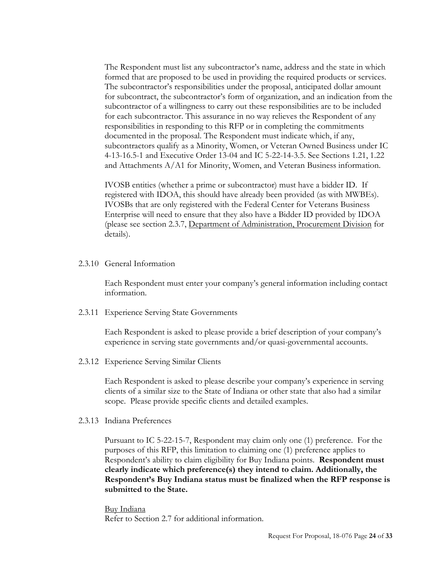The Respondent must list any subcontractor's name, address and the state in which formed that are proposed to be used in providing the required products or services. The subcontractor's responsibilities under the proposal, anticipated dollar amount for subcontract, the subcontractor's form of organization, and an indication from the subcontractor of a willingness to carry out these responsibilities are to be included for each subcontractor. This assurance in no way relieves the Respondent of any responsibilities in responding to this RFP or in completing the commitments documented in the proposal. The Respondent must indicate which, if any, subcontractors qualify as a Minority, Women, or Veteran Owned Business under IC 4-13-16.5-1 and Executive Order 13-04 and IC 5-22-14-3.5. See Sections 1.21, 1.22 and Attachments A/A1 for Minority, Women, and Veteran Business information.

IVOSB entities (whether a prime or subcontractor) must have a bidder ID. If registered with IDOA, this should have already been provided (as with MWBEs). IVOSBs that are only registered with the Federal Center for Veterans Business Enterprise will need to ensure that they also have a Bidder ID provided by IDOA (please see section 2.3.7, Department of Administration, Procurement Division for details).

<span id="page-23-0"></span>2.3.10 General Information

Each Respondent must enter your company's general information including contact information.

<span id="page-23-1"></span>2.3.11 Experience Serving State Governments

Each Respondent is asked to please provide a brief description of your company's experience in serving state governments and/or quasi-governmental accounts.

<span id="page-23-2"></span>2.3.12 Experience Serving Similar Clients

Each Respondent is asked to please describe your company's experience in serving clients of a similar size to the State of Indiana or other state that also had a similar scope. Please provide specific clients and detailed examples.

<span id="page-23-3"></span>2.3.13 Indiana Preferences

Pursuant to IC 5-22-15-7, Respondent may claim only one (1) preference. For the purposes of this RFP, this limitation to claiming one (1) preference applies to Respondent's ability to claim eligibility for Buy Indiana points. **Respondent must clearly indicate which preference(s) they intend to claim. Additionally, the Respondent's Buy Indiana status must be finalized when the RFP response is submitted to the State.**

Buy Indiana Refer to Section 2.7 for additional information.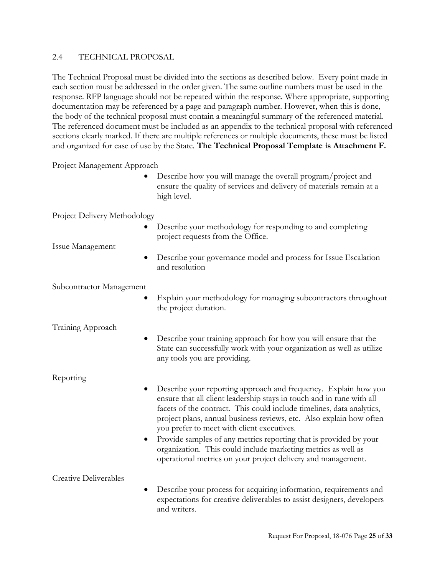#### <span id="page-24-0"></span>2.4 TECHNICAL PROPOSAL

The Technical Proposal must be divided into the sections as described below. Every point made in each section must be addressed in the order given. The same outline numbers must be used in the response. RFP language should not be repeated within the response. Where appropriate, supporting documentation may be referenced by a page and paragraph number. However, when this is done, the body of the technical proposal must contain a meaningful summary of the referenced material. The referenced document must be included as an appendix to the technical proposal with referenced sections clearly marked. If there are multiple references or multiple documents, these must be listed and organized for ease of use by the State. **The Technical Proposal Template is Attachment F.** 

Project Management Approach

 Describe how you will manage the overall program/project and ensure the quality of services and delivery of materials remain at a high level.

Project Delivery Methodology

• Describe your methodology for responding to and completing project requests from the Office.

Issue Management

 Describe your governance model and process for Issue Escalation and resolution

Subcontractor Management

 Explain your methodology for managing subcontractors throughout the project duration.

Training Approach

 Describe your training approach for how you will ensure that the State can successfully work with your organization as well as utilize any tools you are providing.

Reporting

- Describe your reporting approach and frequency. Explain how you ensure that all client leadership stays in touch and in tune with all facets of the contract. This could include timelines, data analytics, project plans, annual business reviews, etc. Also explain how often you prefer to meet with client executives.
- Provide samples of any metrics reporting that is provided by your organization. This could include marketing metrics as well as operational metrics on your project delivery and management.

Creative Deliverables

 Describe your process for acquiring information, requirements and expectations for creative deliverables to assist designers, developers and writers.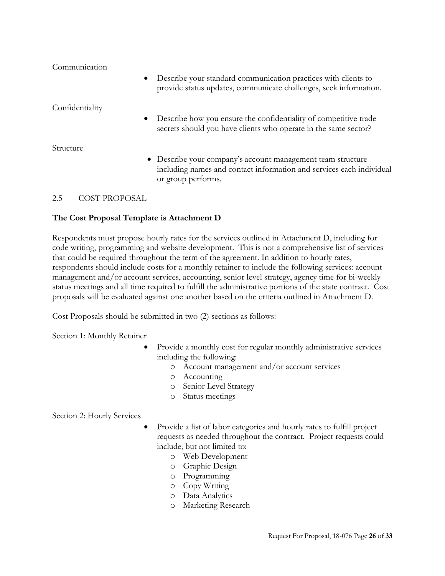| Communication   |                                                                                                                                                           |
|-----------------|-----------------------------------------------------------------------------------------------------------------------------------------------------------|
| $\bullet$       | Describe your standard communication practices with clients to<br>provide status updates, communicate challenges, seek information.                       |
| Confidentiality |                                                                                                                                                           |
| $\bullet$       | Describe how you ensure the confidentiality of competitive trade<br>secrets should you have clients who operate in the same sector?                       |
| Structure       |                                                                                                                                                           |
|                 | • Describe your company's account management team structure<br>including names and contact information and services each individual<br>or group performs. |
|                 |                                                                                                                                                           |

# <span id="page-25-0"></span>2.5 COST PROPOSAL

# **The Cost Proposal Template is Attachment D**

Respondents must propose hourly rates for the services outlined in Attachment D, including for code writing, programming and website development. This is not a comprehensive list of services that could be required throughout the term of the agreement. In addition to hourly rates, respondents should include costs for a monthly retainer to include the following services: account management and/or account services, accounting, senior level strategy, agency time for bi-weekly status meetings and all time required to fulfill the administrative portions of the state contract. Cost proposals will be evaluated against one another based on the criteria outlined in Attachment D.

Cost Proposals should be submitted in two (2) sections as follows:

Section 1: Monthly Retainer

- Provide a monthly cost for regular monthly administrative services including the following:
	- o Account management and/or account services
	- o Accounting
	- o Senior Level Strategy
	- o Status meetings

Section 2: Hourly Services

- Provide a list of labor categories and hourly rates to fulfill project requests as needed throughout the contract. Project requests could include, but not limited to:
	- o Web Development
	- o Graphic Design
	- o Programming
	- o Copy Writing
	- o Data Analytics
	- o Marketing Research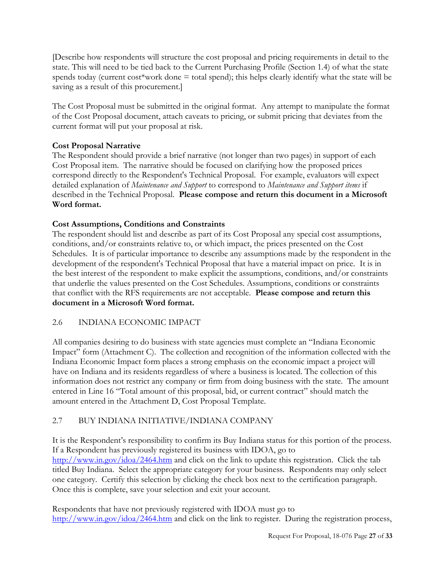[Describe how respondents will structure the cost proposal and pricing requirements in detail to the state. This will need to be tied back to the Current Purchasing Profile (Section 1.4) of what the state spends today (current cost\*work done = total spend); this helps clearly identify what the state will be saving as a result of this procurement.]

The Cost Proposal must be submitted in the original format. Any attempt to manipulate the format of the Cost Proposal document, attach caveats to pricing, or submit pricing that deviates from the current format will put your proposal at risk.

# **Cost Proposal Narrative**

The Respondent should provide a brief narrative (not longer than two pages) in support of each Cost Proposal item. The narrative should be focused on clarifying how the proposed prices correspond directly to the Respondent's Technical Proposal. For example, evaluators will expect detailed explanation of *Maintenance and Support* to correspond to *Maintenance and Support items* if described in the Technical Proposal. **Please compose and return this document in a Microsoft Word format.**

# **Cost Assumptions, Conditions and Constraints**

The respondent should list and describe as part of its Cost Proposal any special cost assumptions, conditions, and/or constraints relative to, or which impact, the prices presented on the Cost Schedules. It is of particular importance to describe any assumptions made by the respondent in the development of the respondent's Technical Proposal that have a material impact on price. It is in the best interest of the respondent to make explicit the assumptions, conditions, and/or constraints that underlie the values presented on the Cost Schedules. Assumptions, conditions or constraints that conflict with the RFS requirements are not acceptable. **Please compose and return this document in a Microsoft Word format.**

# <span id="page-26-0"></span>2.6 INDIANA ECONOMIC IMPACT

All companies desiring to do business with state agencies must complete an "Indiana Economic Impact" form (Attachment C). The collection and recognition of the information collected with the Indiana Economic Impact form places a strong emphasis on the economic impact a project will have on Indiana and its residents regardless of where a business is located. The collection of this information does not restrict any company or firm from doing business with the state. The amount entered in Line 16 "Total amount of this proposal, bid, or current contract" should match the amount entered in the Attachment D, Cost Proposal Template.

# <span id="page-26-1"></span>2.7 BUY INDIANA INITIATIVE/INDIANA COMPANY

It is the Respondent's responsibility to confirm its Buy Indiana status for this portion of the process. If a Respondent has previously registered its business with IDOA, go to [http://www.in.gov/idoa/2464.htm](http://www.in.gov/idoa/2742.htm) and click on the link to update this registration. Click the tab titled Buy Indiana. Select the appropriate category for your business. Respondents may only select one category. Certify this selection by clicking the check box next to the certification paragraph. Once this is complete, save your selection and exit your account.

Respondents that have not previously registered with IDOA must go to [http://www.in.gov/idoa/2464.htm](http://www.in.gov/idoa/2742.htm) and click on the link to register. During the registration process,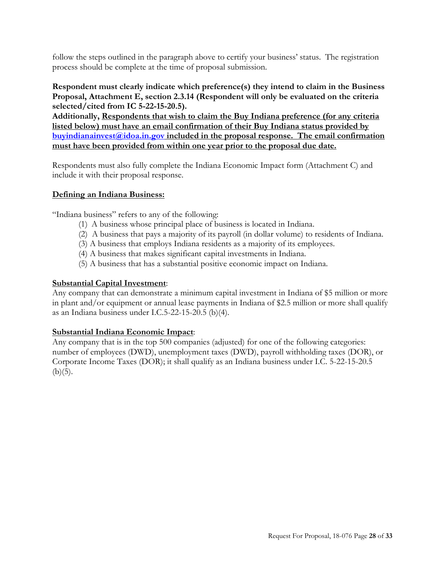follow the steps outlined in the paragraph above to certify your business' status. The registration process should be complete at the time of proposal submission.

#### **Respondent must clearly indicate which preference(s) they intend to claim in the Business Proposal, Attachment E, section 2.3.14 (Respondent will only be evaluated on the criteria selected/cited from IC 5-22-15-20.5).**

**Additionally, Respondents that wish to claim the Buy Indiana preference (for any criteria listed below) must have an email confirmation of their Buy Indiana status provided by [buyindianainvest@idoa.in.gov](mailto:buyindianainvest@idoa.in.gov) included in the proposal response. The email confirmation must have been provided from within one year prior to the proposal due date.** 

Respondents must also fully complete the Indiana Economic Impact form (Attachment C) and include it with their proposal response.

#### **Defining an Indiana Business:**

"Indiana business" refers to any of the following:

- (1) A business whose principal place of business is located in Indiana.
- (2) A business that pays a majority of its payroll (in dollar volume) to residents of Indiana.
- (3) A business that employs Indiana residents as a majority of its employees.
- (4) A business that makes significant capital investments in Indiana.
- (5) A business that has a substantial positive economic impact on Indiana.

#### **Substantial Capital Investment**:

Any company that can demonstrate a minimum capital investment in Indiana of \$5 million or more in plant and/or equipment or annual lease payments in Indiana of \$2.5 million or more shall qualify as an Indiana business under I.C.5-22-15-20.5 (b)(4).

#### **Substantial Indiana Economic Impact**:

Any company that is in the top 500 companies (adjusted) for one of the following categories: number of employees (DWD), unemployment taxes (DWD), payroll withholding taxes (DOR), or Corporate Income Taxes (DOR); it shall qualify as an Indiana business under I.C. 5-22-15-20.5  $(b)(5)$ .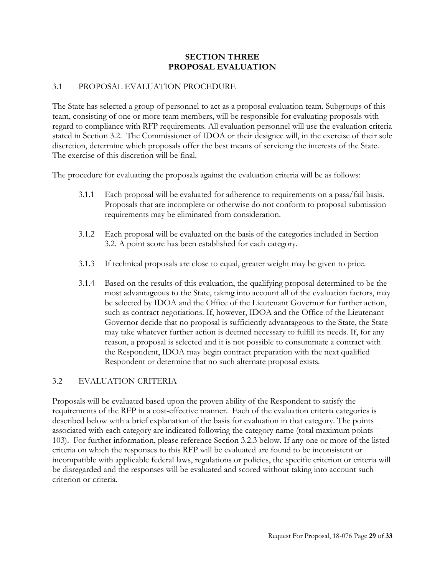#### **SECTION THREE PROPOSAL EVALUATION**

#### <span id="page-28-1"></span><span id="page-28-0"></span>3.1 PROPOSAL EVALUATION PROCEDURE

The State has selected a group of personnel to act as a proposal evaluation team. Subgroups of this team, consisting of one or more team members, will be responsible for evaluating proposals with regard to compliance with RFP requirements. All evaluation personnel will use the evaluation criteria stated in Section 3.2. The Commissioner of IDOA or their designee will, in the exercise of their sole discretion, determine which proposals offer the best means of servicing the interests of the State. The exercise of this discretion will be final.

The procedure for evaluating the proposals against the evaluation criteria will be as follows:

- 3.1.1 Each proposal will be evaluated for adherence to requirements on a pass/fail basis. Proposals that are incomplete or otherwise do not conform to proposal submission requirements may be eliminated from consideration.
- 3.1.2 Each proposal will be evaluated on the basis of the categories included in Section 3.2. A point score has been established for each category.
- 3.1.3 If technical proposals are close to equal, greater weight may be given to price.
- 3.1.4 Based on the results of this evaluation, the qualifying proposal determined to be the most advantageous to the State, taking into account all of the evaluation factors, may be selected by IDOA and the Office of the Lieutenant Governor for further action, such as contract negotiations. If, however, IDOA and the Office of the Lieutenant Governor decide that no proposal is sufficiently advantageous to the State, the State may take whatever further action is deemed necessary to fulfill its needs. If, for any reason, a proposal is selected and it is not possible to consummate a contract with the Respondent, IDOA may begin contract preparation with the next qualified Respondent or determine that no such alternate proposal exists.

#### <span id="page-28-2"></span>3.2 EVALUATION CRITERIA

Proposals will be evaluated based upon the proven ability of the Respondent to satisfy the requirements of the RFP in a cost-effective manner. Each of the evaluation criteria categories is described below with a brief explanation of the basis for evaluation in that category. The points associated with each category are indicated following the category name (total maximum points = 103). For further information, please reference Section 3.2.3 below. If any one or more of the listed criteria on which the responses to this RFP will be evaluated are found to be inconsistent or incompatible with applicable federal laws, regulations or policies, the specific criterion or criteria will be disregarded and the responses will be evaluated and scored without taking into account such criterion or criteria.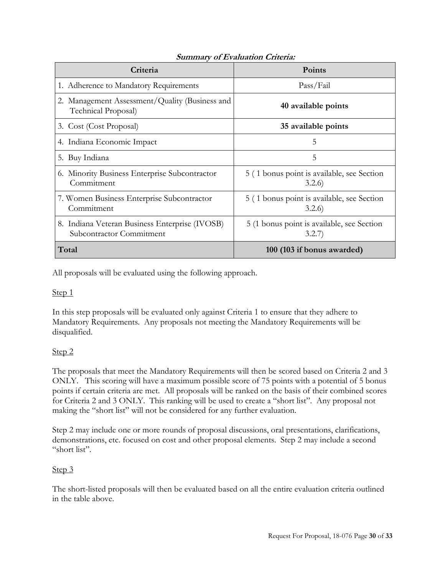| Criteria                                                                   | <b>Points</b>                                        |
|----------------------------------------------------------------------------|------------------------------------------------------|
| 1. Adherence to Mandatory Requirements                                     | Pass/Fail                                            |
| 2. Management Assessment/Quality (Business and<br>Technical Proposal)      | 40 available points                                  |
| 3. Cost (Cost Proposal)                                                    | 35 available points                                  |
| 4. Indiana Economic Impact                                                 | 5                                                    |
| 5. Buy Indiana                                                             | 5                                                    |
| 6. Minority Business Enterprise Subcontractor<br>Commitment                | 5 (1 bonus point is available, see Section<br>3.2.6  |
| 7. Women Business Enterprise Subcontractor<br>Commitment                   | 5 (1 bonus point is available, see Section<br>3.2.6  |
| 8. Indiana Veteran Business Enterprise (IVOSB)<br>Subcontractor Commitment | 5 (1 bonus point is available, see Section<br>3.2.7) |
| Total                                                                      | 100 (103 if bonus awarded)                           |

# **Summary of Evaluation Criteria:**

All proposals will be evaluated using the following approach.

#### Step 1

In this step proposals will be evaluated only against Criteria 1 to ensure that they adhere to Mandatory Requirements. Any proposals not meeting the Mandatory Requirements will be disqualified.

#### Step 2

The proposals that meet the Mandatory Requirements will then be scored based on Criteria 2 and 3 ONLY. This scoring will have a maximum possible score of 75 points with a potential of 5 bonus points if certain criteria are met. All proposals will be ranked on the basis of their combined scores for Criteria 2 and 3 ONLY. This ranking will be used to create a "short list". Any proposal not making the "short list" will not be considered for any further evaluation.

Step 2 may include one or more rounds of proposal discussions, oral presentations, clarifications, demonstrations, etc. focused on cost and other proposal elements. Step 2 may include a second "short list".

# Step 3

The short-listed proposals will then be evaluated based on all the entire evaluation criteria outlined in the table above.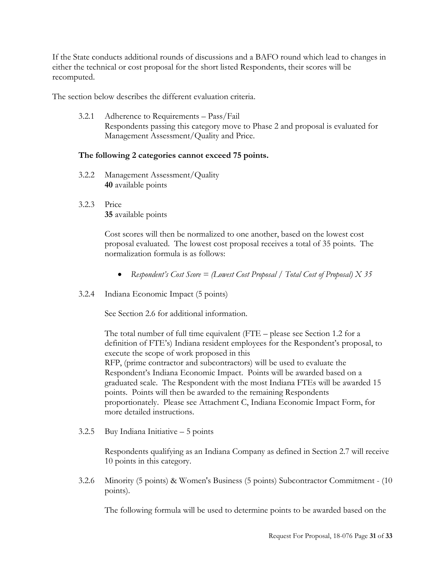If the State conducts additional rounds of discussions and a BAFO round which lead to changes in either the technical or cost proposal for the short listed Respondents, their scores will be recomputed.

<span id="page-30-0"></span>The section below describes the different evaluation criteria.

3.2.1 Adherence to Requirements – Pass/Fail Respondents passing this category move to Phase 2 and proposal is evaluated for Management Assessment/Quality and Price.

# **The following 2 categories cannot exceed 75 points.**

- <span id="page-30-1"></span>3.2.2 Management Assessment/Quality **40** available points
- <span id="page-30-2"></span>3.2.3 Price **35** available points

Cost scores will then be normalized to one another, based on the lowest cost proposal evaluated. The lowest cost proposal receives a total of 35 points. The normalization formula is as follows:

- *Respondent's Cost Score = (Lowest Cost Proposal / Total Cost of Proposal) X 35*
- <span id="page-30-3"></span>3.2.4 Indiana Economic Impact (5 points)

See Section 2.6 for additional information.

The total number of full time equivalent (FTE – please see Section 1.2 for a definition of FTE's) Indiana resident employees for the Respondent's proposal, to execute the scope of work proposed in this RFP, (prime contractor and subcontractors) will be used to evaluate the Respondent's Indiana Economic Impact. Points will be awarded based on a graduated scale. The Respondent with the most Indiana FTEs will be awarded 15 points. Points will then be awarded to the remaining Respondents proportionately. Please see Attachment C, Indiana Economic Impact Form, for more detailed instructions.

<span id="page-30-4"></span>3.2.5 Buy Indiana Initiative – 5 points

Respondents qualifying as an Indiana Company as defined in Section 2.7 will receive 10 points in this category.

<span id="page-30-5"></span>3.2.6 Minority (5 points) & Women's Business (5 points) Subcontractor Commitment - (10 points).

The following formula will be used to determine points to be awarded based on the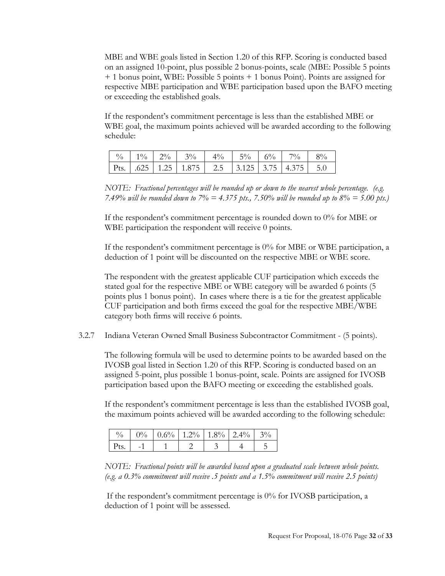MBE and WBE goals listed in Section 1.20 of this RFP. Scoring is conducted based on an assigned 10-point, plus possible 2 bonus-points, scale (MBE: Possible 5 points + 1 bonus point, WBE: Possible 5 points + 1 bonus Point). Points are assigned for respective MBE participation and WBE participation based upon the BAFO meeting or exceeding the established goals.

If the respondent's commitment percentage is less than the established MBE or WBE goal, the maximum points achieved will be awarded according to the following schedule:

|  |  |  |  | Pts.   .625   1.25   1.875   2.5   3.125   3.75   4.375   5.0 |
|--|--|--|--|---------------------------------------------------------------|

*NOTE: Fractional percentages will be rounded up or down to the nearest whole percentage. (e.g. 7.49% will be rounded down to 7% = 4.375 pts., 7.50% will be rounded up to 8% = 5.00 pts.)*

If the respondent's commitment percentage is rounded down to 0% for MBE or WBE participation the respondent will receive 0 points.

If the respondent's commitment percentage is 0% for MBE or WBE participation, a deduction of 1 point will be discounted on the respective MBE or WBE score.

The respondent with the greatest applicable CUF participation which exceeds the stated goal for the respective MBE or WBE category will be awarded 6 points (5 points plus 1 bonus point). In cases where there is a tie for the greatest applicable CUF participation and both firms exceed the goal for the respective MBE/WBE category both firms will receive 6 points.

<span id="page-31-0"></span>3.2.7 Indiana Veteran Owned Small Business Subcontractor Commitment - (5 points).

The following formula will be used to determine points to be awarded based on the IVOSB goal listed in Section 1.20 of this RFP. Scoring is conducted based on an assigned 5-point, plus possible 1 bonus-point, scale. Points are assigned for IVOSB participation based upon the BAFO meeting or exceeding the established goals.

If the respondent's commitment percentage is less than the established IVOSB goal, the maximum points achieved will be awarded according to the following schedule:

|                    |  | $0\%$   $0.6\%$   $1.2\%$   $1.8\%$   $2.4\%$ |  |  |
|--------------------|--|-----------------------------------------------|--|--|
| $\varepsilon$ Pts. |  |                                               |  |  |

*NOTE: Fractional points will be awarded based upon a graduated scale between whole points. (e.g. a 0.3% commitment will receive .5 points and a 1.5% commitment will receive 2.5 points)*

If the respondent's commitment percentage is 0% for IVOSB participation, a deduction of 1 point will be assessed.